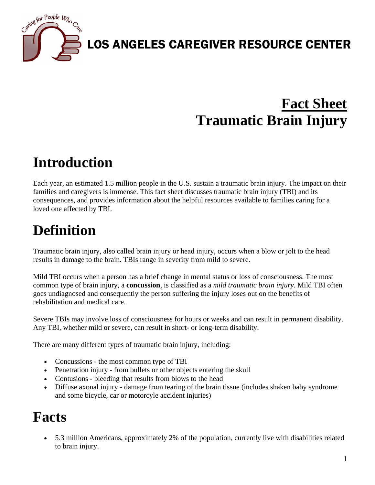

# **Fact Sheet Traumatic Brain Injury**

## **Introduction**

Each year, an estimated 1.5 million people in the U.S. sustain a traumatic brain injury. The impact on their families and caregivers is immense. This fact sheet discusses traumatic brain injury (TBI) and its consequences, and provides information about the helpful resources available to families caring for a loved one affected by TBI.

## **Definition**

Traumatic brain injury, also called brain injury or head injury, occurs when a blow or jolt to the head results in damage to the brain. TBIs range in severity from mild to severe.

Mild TBI occurs when a person has a brief change in mental status or loss of consciousness. The most common type of brain injury, a **concussion**, is classified as a *mild traumatic brain injury*. Mild TBI often goes undiagnosed and consequently the person suffering the injury loses out on the benefits of rehabilitation and medical care.

Severe TBIs may involve loss of consciousness for hours or weeks and can result in permanent disability. Any TBI, whether mild or severe, can result in short- or long-term disability.

There are many different types of traumatic brain injury, including:

- Concussions the most common type of TBI
- Penetration injury from bullets or other objects entering the skull
- Contusions bleeding that results from blows to the head
- Diffuse axonal injury damage from tearing of the brain tissue (includes shaken baby syndrome and some bicycle, car or motorcyle accident injuries)

### **Facts**

• 5.3 million Americans, approximately 2% of the population, currently live with disabilities related to brain injury.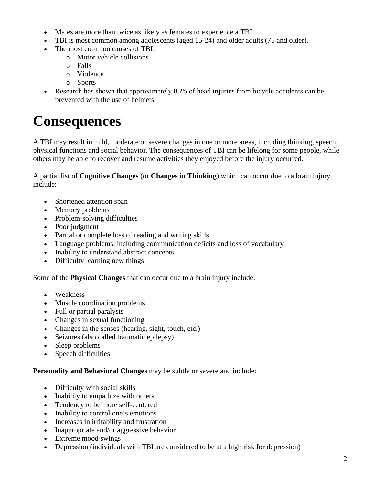- Males are more than twice as likely as females to experience a TBI.
- TBI is most common among adolescents (aged 15-24) and older adults (75 and older).
	- The most common causes of TBI:
		- o Motor vehicle collisions
		- o Falls
		- o Violence
		- o Sports
- Research has shown that approximately 85% of head injuries from bicycle accidents can be prevented with the use of helmets.

### **Consequences**

A TBI may result in mild, moderate or severe changes in one or more areas, including thinking, speech, physical functions and social behavior. The consequences of TBI can be lifelong for some people, while others may be able to recover and resume activities they enjoyed before the injury occurred.

A partial list of **Cognitive Changes** (or **Changes in Thinking**) which can occur due to a brain injury include:

- Shortened attention span
- Memory problems
- Problem-solving difficulties
- Poor judgment
- Partial or complete loss of reading and writing skills
- Language problems, including communication deficits and loss of vocabulary
- Inability to understand abstract concepts
- Difficulty learning new things

Some of the **Physical Changes** that can occur due to a brain injury include:

- Weakness
- Muscle coordination problems
- Full or partial paralysis
- Changes in sexual functioning
- Changes in the senses (hearing, sight, touch, etc.)
- Seizures (also called traumatic epilepsy)
- Sleep problems
- Speech difficulties

#### **Personality and Behavioral Changes** may be subtle or severe and include:

- Difficulty with social skills
- Inability to empathize with others
- Tendency to be more self-centered
- Inability to control one's emotions
- Increases in irritability and frustration
- Inappropriate and/or aggressive behavior
- Extreme mood swings
- Depression (individuals with TBI are considered to be at a high risk for depression)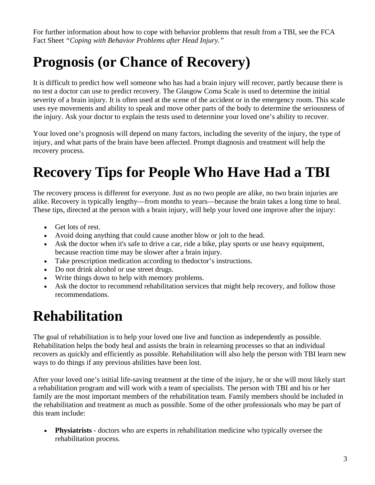For further information about how to cope with behavior problems that result from a TBI, see the FCA Fact Sheet *"Coping with Behavior Problems after Head Injury."*

## **Prognosis (or Chance of Recovery)**

It is difficult to predict how well someone who has had a brain injury will recover, partly because there is no test a doctor can use to predict recovery. The Glasgow Coma Scale is used to determine the initial severity of a brain injury. It is often used at the scene of the accident or in the emergency room. This scale uses eye movements and ability to speak and move other parts of the body to determine the seriousness of the injury. Ask your doctor to explain the tests used to determine your loved one's ability to recover.

Your loved one's prognosis will depend on many factors, including the severity of the injury, the type of injury, and what parts of the brain have been affected. Prompt diagnosis and treatment will help the recovery process.

# **Recovery Tips for People Who Have Had a TBI**

The recovery process is different for everyone. Just as no two people are alike, no two brain injuries are alike. Recovery is typically lengthy—from months to years—because the brain takes a long time to heal. These tips, directed at the person with a brain injury, will help your loved one improve after the injury:

- Get lots of rest.
- Avoid doing anything that could cause another blow or jolt to the head.
- Ask the doctor when it's safe to drive a car, ride a bike, play sports or use heavy equipment, because reaction time may be slower after a brain injury.
- Take prescription medication according to thedoctor's instructions.
- Do not drink alcohol or use street drugs.
- Write things down to help with memory problems.
- Ask the doctor to recommend rehabilitation services that might help recovery, and follow those recommendations.

### **Rehabilitation**

The goal of rehabilitation is to help your loved one live and function as independently as possible. Rehabilitation helps the body heal and assists the brain in relearning processes so that an individual recovers as quickly and efficiently as possible. Rehabilitation will also help the person with TBI learn new ways to do things if any previous abilities have been lost.

After your loved one's initial life-saving treatment at the time of the injury, he or she will most likely start a rehabilitation program and will work with a team of specialists. The person with TBI and his or her family are the most important members of the rehabilitation team. Family members should be included in the rehabilitation and treatment as much as possible. Some of the other professionals who may be part of this team include:

• **Physiatrists** - doctors who are experts in rehabilitation medicine who typically oversee the rehabilitation process.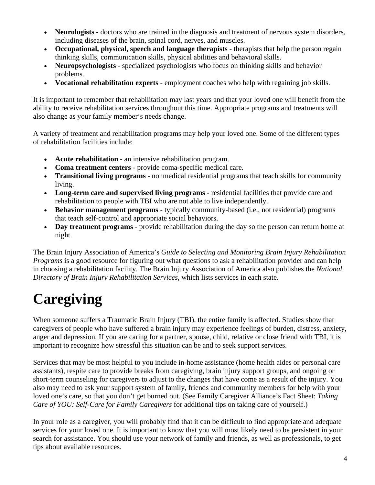- **Neurologists** doctors who are trained in the diagnosis and treatment of nervous system disorders, including diseases of the brain, spinal cord, nerves, and muscles.
- **Occupational, physical, speech and language therapists** therapists that help the person regain thinking skills, communication skills, physical abilities and behavioral skills.
- **Neuropsychologists** specialized psychologists who focus on thinking skills and behavior problems.
- **Vocational rehabilitation experts** employment coaches who help with regaining job skills.

It is important to remember that rehabilitation may last years and that your loved one will benefit from the ability to receive rehabilitation services throughout this time. Appropriate programs and treatments will also change as your family member's needs change.

A variety of treatment and rehabilitation programs may help your loved one. Some of the different types of rehabilitation facilities include:

- **Acute rehabilitation** an intensive rehabilitation program.
- **Coma treatment centers** provide coma-specific medical care.
- **Transitional living programs** nonmedical residential programs that teach skills for community living.
- **Long-term care and supervised living programs** residential facilities that provide care and rehabilitation to people with TBI who are not able to live independently.
- **Behavior management programs** typically community-based (i.e., not residential) programs that teach self-control and appropriate social behaviors.
- **Day treatment programs** provide rehabilitation during the day so the person can return home at night.

The Brain Injury Association of America's *Guide to Selecting and Monitoring Brain Injury Rehabilitation Programs* is a good resource for figuring out what questions to ask a rehabilitation provider and can help in choosing a rehabilitation facility. The Brain Injury Association of America also publishes the *National Directory of Brain Injury Rehabilitation Services*, which lists services in each state.

# **Caregiving**

When someone suffers a Traumatic Brain Injury (TBI), the entire family is affected. Studies show that caregivers of people who have suffered a brain injury may experience feelings of burden, distress, anxiety, anger and depression. If you are caring for a partner, spouse, child, relative or close friend with TBI, it is important to recognize how stressful this situation can be and to seek support services.

Services that may be most helpful to you include in-home assistance (home health aides or personal care assistants), respite care to provide breaks from caregiving, brain injury support groups, and ongoing or short-term counseling for caregivers to adjust to the changes that have come as a result of the injury. You also may need to ask your support system of family, friends and community members for help with your loved one's care, so that you don't get burned out. (See Family Caregiver Alliance's Fact Sheet: *Taking Care of YOU: Self-Care for Family Caregivers* for additional tips on taking care of yourself.)

In your role as a caregiver, you will probably find that it can be difficult to find appropriate and adequate services for your loved one. It is important to know that you will most likely need to be persistent in your search for assistance. You should use your network of family and friends, as well as professionals, to get tips about available resources.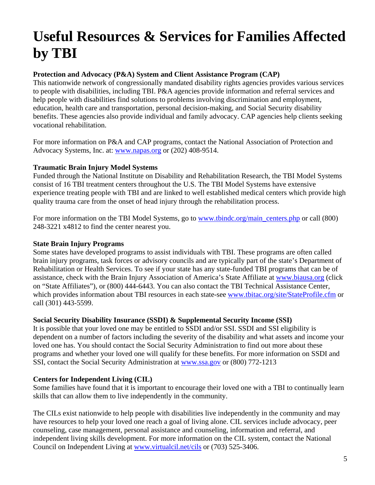# **Useful Resources & Services for Families Affected by TBI**

#### **Protection and Advocacy (P&A) System and Client Assistance Program (CAP)**

This nationwide network of congressionally mandated disability rights agencies provides various services to people with disabilities, including TBI. P&A agencies provide information and referral services and help people with disabilities find solutions to problems involving discrimination and employment, education, health care and transportation, personal decision-making, and Social Security disability benefits. These agencies also provide individual and family advocacy. CAP agencies help clients seeking vocational rehabilitation.

For more information on P&A and CAP programs, contact the National Association of Protection and Advocacy Systems, Inc. at: [www.napas.org](http://www.napas.org/) or (202) 408-9514.

#### **Traumatic Brain Injury Model Systems**

Funded through the National Institute on Disability and Rehabilitation Research, the TBI Model Systems consist of 16 TBI treatment centers throughout the U.S. The TBI Model Systems have extensive experience treating people with TBI and are linked to well established medical centers which provide high quality trauma care from the onset of head injury through the rehabilitation process.

For more information on the TBI Model Systems, go to <u>www.tbindc.org/main\_centers.php</u> or call (800) 248-3221 x4812 to find the center nearest you.

#### **State Brain Injury Programs**

Some states have developed programs to assist individuals with TBI. These programs are often called brain injury programs, task forces or advisory councils and are typically part of the state's Department of Rehabilitation or Health Services. To see if your state has any state-funded TBI programs that can be of assistance, check with the Brain Injury Association of America's State Affiliate at [www.biausa.org](http://www.biausa.org/) (click on "State Affiliates"), or (800) 444-6443. You can also contact the TBI Technical Assistance Center, which provides information about TBI resources in each state-see [www.tbitac.org/site/StateProfile.cfm](http://www.tbitac.org/site/StateProfile.cfm) or call (301) 443-5599.

#### **Social Security Disability Insurance (SSDI) & Supplemental Security Income (SSI)**

It is possible that your loved one may be entitled to SSDI and/or SSI. SSDI and SSI eligibility is dependent on a number of factors including the severity of the disability and what assets and income your loved one has. You should contact the Social Security Administration to find out more about these programs and whether your loved one will qualify for these benefits. For more information on SSDI and SSI, contact the Social Security Administration at [www.ssa.gov](http://www.ssa.gov/) or (800) 772-1213

#### **Centers for Independent Living (CIL)**

Some families have found that it is important to encourage their loved one with a TBI to continually learn skills that can allow them to live independently in the community.

The CILs exist nationwide to help people with disabilities live independently in the community and may have resources to help your loved one reach a goal of living alone. CIL services include advocacy, peer counseling, case management, personal assistance and counseling, information and referral, and independent living skills development. For more information on the CIL system, contact the National Council on Independent Living at [www.virtualcil.net/cils](http://www.virtualcil.net/cils) or (703) 525-3406.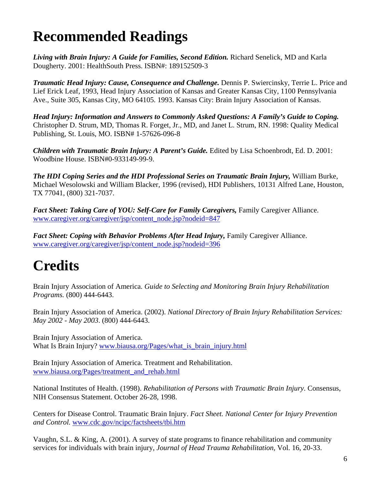### **Recommended Readings**

*Living with Brain Injury: A Guide for Families, Second Edition.* Richard Senelick, MD and Karla Dougherty. 2001: HealthSouth Press. ISBN#: 189152509-3

*Traumatic Head Injury: Cause, Consequence and Challenge.* Dennis P. Swiercinsky, Terrie L. Price and Lief Erick Leaf, 1993, Head Injury Association of Kansas and Greater Kansas City, 1100 Pennsylvania Ave., Suite 305, Kansas City, MO 64105. 1993. Kansas City: Brain Injury Association of Kansas.

*Head Injury: Information and Answers to Commonly Asked Questions: A Family's Guide to Coping.* Christopher D. Strum, MD, Thomas R. Forget, Jr., MD, and Janet L. Strum, RN. 1998: Quality Medical Publishing, St. Louis, MO. ISBN# 1-57626-096-8

*Children with Traumatic Brain Injury: A Parent's Guide.* Edited by Lisa Schoenbrodt, Ed. D. 2001: Woodbine House. ISBN#0-933149-99-9.

*The HDI Coping Series and the HDI Professional Series on Traumatic Brain Injury,* William Burke, Michael Wesolowski and William Blacker, 1996 (revised), HDI Publishers, 10131 Alfred Lane, Houston, TX 77041, (800) 321-7037.

*Fact Sheet: Taking Care of YOU: Self-Care for Family Caregivers,* Family Caregiver Alliance. [www.caregiver.org/caregiver/jsp/content\\_node.jsp?nodeid=847](http://www.caregiver.org/caregiver/jsp/content_node.jsp?nodeid=847)

*Fact Sheet: Coping with Behavior Problems After Head Injury,* Family Caregiver Alliance. [www.caregiver.org/caregiver/jsp/content\\_node.jsp?nodeid=396](http://www.caregiver.org/caregiver/jsp/content_node.jsp?nodeid=396)

# **Credits**

Brain Injury Association of America. *Guide to Selecting and Monitoring Brain Injury Rehabilitation Programs.* (800) 444-6443.

Brain Injury Association of America. (2002). *National Directory of Brain Injury Rehabilitation Services: May 2002 - May 2003*. (800) 444-6443.

Brain Injury Association of America. What Is Brain Injury? www.biausa.org/Pages/what is brain injury.html

Brain Injury Association of America. Treatment and Rehabilitation. [www.biausa.org/Pages/treatment\\_and\\_rehab.html](http://www.biausa.org/Pages/treatment_and_rehab.html)

National Institutes of Health. (1998). *Rehabilitation of Persons with Traumatic Brain Injury*. Consensus, NIH Consensus Statement. October 26-28, 1998.

Centers for Disease Control. Traumatic Brain Injury. *Fact Sheet. National Center for Injury Prevention and Control.* [www.cdc.gov/ncipc/factsheets/tbi.htm](http://www.cdc.gov/ncipc/factsheets/tbi.htm)

Vaughn, S.L. & King, A. (2001). A survey of state programs to finance rehabilitation and community services for individuals with brain injury, *Journal of Head Trauma Rehabilitation*, Vol. 16, 20-33.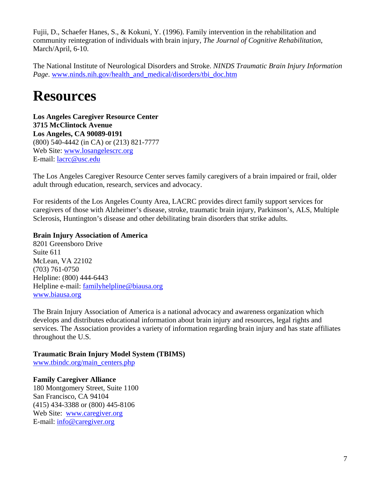Fujii, D., Schaefer Hanes, S., & Kokuni, Y. (1996). Family intervention in the rehabilitation and community reintegration of individuals with brain injury, *The Journal of Cognitive Rehabilitation*, March/April, 6-10.

The National Institute of Neurological Disorders and Stroke. *NINDS Traumatic Brain Injury Information Page*. [www.ninds.nih.gov/health\\_and\\_medical/disorders/tbi\\_doc.htm](http://www.ninds.nih.gov/health_and_medical/disorders/tbi_doc.htm)

### **Resources**

**Los Angeles Caregiver Resource Center 3715 McClintock Avenue Los Angeles, CA 90089-0191** (800) 540-4442 (in CA) or (213) 821-7777 Web Site: [www.losangelescrc.org](http://www.losangelescrc.org/) E-mail: [lacrc@usc.edu](mailto:lacrc@usc.edu) 

The Los Angeles Caregiver Resource Center serves family caregivers of a brain impaired or frail, older adult through education, research, services and advocacy.

For residents of the Los Angeles County Area, LACRC provides direct family support services for caregivers of those with Alzheimer's disease, stroke, traumatic brain injury, Parkinson's, ALS, Multiple Sclerosis, Huntington's disease and other debilitating brain disorders that strike adults.

#### **Brain Injury Association of America**

8201 Greensboro Drive Suite 611 McLean, VA 22102 (703) 761-0750 Helpline: (800) 444-6443 Helpline e-mail: [familyhelpline@biausa.org](mailto:familyhelpline@biausa.org) [www.biausa.org](http://www.biausa.org/)

The Brain Injury Association of America is a national advocacy and awareness organization which develops and distributes educational information about brain injury and resources, legal rights and services. The Association provides a variety of information regarding brain injury and has state affiliates throughout the U.S.

#### **Traumatic Brain Injury Model System (TBIMS)**

[www.tbindc.org/main\\_centers.php](http://www.tbindc.org/main_centers.php)

#### **Family Caregiver Alliance**

180 Montgomery Street, Suite 1100 San Francisco, CA 94104 (415) 434-3388 or (800) 445-8106 Web Site: [www.caregiver.org](http://www.caregiver.org/) E-mail: [info@caregiver.org](mailto:info@caregiver.org)